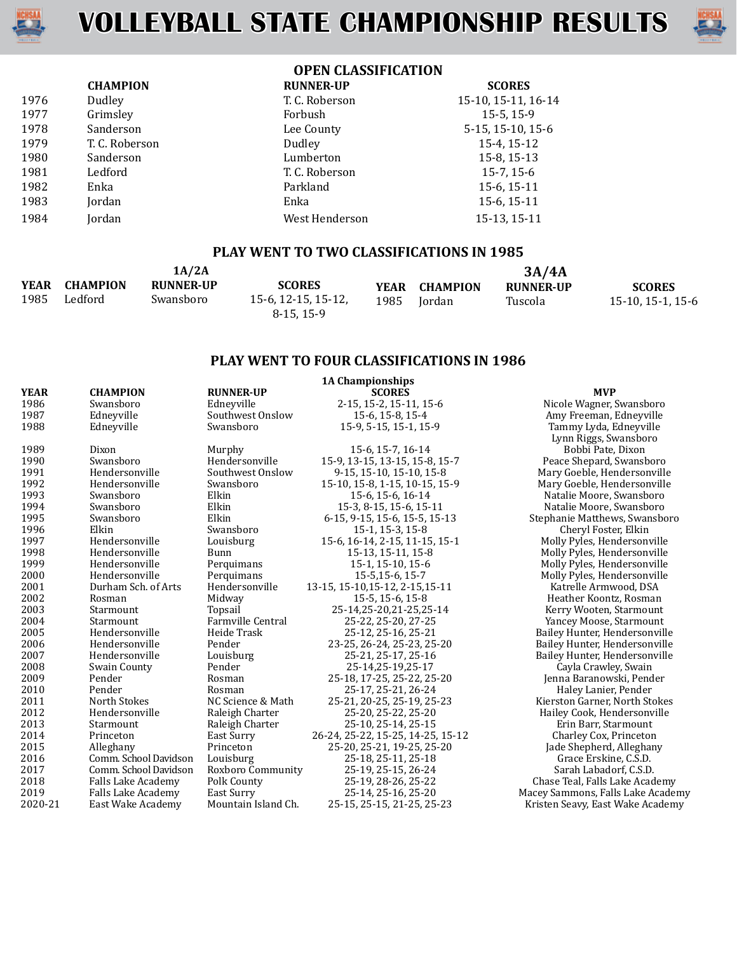



# **OPEN CLASSIFICATION**

|      | <b>CHAMPION</b> | <b>RUNNER-UP</b> | <b>SCORES</b>       |
|------|-----------------|------------------|---------------------|
| 1976 | Dudley          | T. C. Roberson   | 15-10, 15-11, 16-14 |
| 1977 | Grimsley        | Forbush          | 15-5, 15-9          |
| 1978 | Sanderson       | Lee County       | 5-15, 15-10, 15-6   |
| 1979 | T. C. Roberson  | Dudley           | 15-4, 15-12         |
| 1980 | Sanderson       | Lumberton        | 15-8, 15-13         |
| 1981 | Ledford         | T. C. Roberson   | $15-7, 15-6$        |
| 1982 | Enka            | Parkland         | 15-6, 15-11         |
| 1983 | Jordan          | Enka             | 15-6, 15-11         |
| 1984 | Jordan          | West Henderson   | 15-13, 15-11        |

## **PLAY WENT TO TWO CLASSIFICATIONS IN 1985**

|              |                            | 1A/2A                         |                                                   |      |                         | 3A/4A                       |                                    |
|--------------|----------------------------|-------------------------------|---------------------------------------------------|------|-------------------------|-----------------------------|------------------------------------|
| YEAR<br>1985 | <b>CHAMPION</b><br>Ledford | <b>RUNNER-UP</b><br>Swansboro | <b>SCORES</b><br>15-6, 12-15, 15-12,<br>8-15.15-9 | 1985 | YEAR CHAMPION<br>Iordan | <b>RUNNER-UP</b><br>Tuscola | <b>SCORES</b><br>15-10, 15-1, 15-6 |

# **PLAY WENT TO FOUR CLASSIFICATIONS IN 1986**

|             |                       |                          | <b>1A Championships</b>           |                                   |
|-------------|-----------------------|--------------------------|-----------------------------------|-----------------------------------|
| <b>YEAR</b> | <b>CHAMPION</b>       | <b>RUNNER-UP</b>         | <b>SCORES</b>                     | <b>MVP</b>                        |
| 1986        | Swansboro             | Edneyville               | 2-15, 15-2, 15-11, 15-6           | Nicole Wagner, Swansboro          |
| 1987        | Edneyville            | Southwest Onslow         | 15-6, 15-8, 15-4                  | Amy Freeman, Edneyville           |
| 1988        | Ednevville            | Swansboro                | 15-9, 5-15, 15-1, 15-9            | Tammy Lyda, Edneyville            |
|             |                       |                          |                                   | Lynn Riggs, Swansboro             |
| 1989        | Dixon                 | Murphy                   | 15-6, 15-7, 16-14                 | Bobbi Pate, Dixon                 |
| 1990        | Swansboro             | Hendersonville           | 15-9, 13-15, 13-15, 15-8, 15-7    | Peace Shepard, Swansboro          |
| 1991        | Hendersonville        | Southwest Onslow         | 9-15, 15-10, 15-10, 15-8          | Mary Goeble, Hendersonville       |
| 1992        | Hendersonville        | Swansboro                | 15-10, 15-8, 1-15, 10-15, 15-9    | Mary Goeble, Hendersonville       |
| 1993        | Swansboro             | Elkin                    | 15-6, 15-6, 16-14                 | Natalie Moore, Swansboro          |
| 1994        | Swansboro             | Elkin                    | 15-3, 8-15, 15-6, 15-11           | Natalie Moore, Swansboro          |
| 1995        | Swansboro             | Elkin                    | 6-15, 9-15, 15-6, 15-5, 15-13     | Stephanie Matthews, Swansboro     |
| 1996        | Elkin                 | Swansboro                | 15-1, 15-3, 15-8                  | Cheryl Foster, Elkin              |
| 1997        | Hendersonville        | Louisburg                | 15-6, 16-14, 2-15, 11-15, 15-1    | Molly Pyles, Hendersonville       |
| 1998        | Hendersonville        | Bunn                     | 15-13, 15-11, 15-8                | Molly Pyles, Hendersonville       |
| 1999        | Hendersonville        | Perquimans               | 15-1, 15-10, 15-6                 | Molly Pyles, Hendersonville       |
| 2000        | Hendersonville        | Perquimans               | 15-5,15-6, 15-7                   | Molly Pyles, Hendersonville       |
| 2001        | Durham Sch. of Arts   | Hendersonville           | 13-15, 15-10, 15-12, 2-15, 15-11  | Katrelle Armwood, DSA             |
| 2002        | Rosman                | Midway                   | 15-5, 15-6, 15-8                  | Heather Koontz, Rosman            |
| 2003        | Starmount             | Topsail                  | 25-14,25-20,21-25,25-14           | Kerry Wooten, Starmount           |
| 2004        | Starmount             | <b>Farmville Central</b> | 25-22, 25-20, 27-25               | Yancey Moose, Starmount           |
| 2005        | Hendersonville        | Heide Trask              | 25-12, 25-16, 25-21               | Bailey Hunter, Hendersonville     |
| 2006        | Hendersonville        | Pender                   | 23-25, 26-24, 25-23, 25-20        | Bailey Hunter, Hendersonville     |
| 2007        | Hendersonville        | Louisburg                | 25-21, 25-17, 25-16               | Bailey Hunter, Hendersonville     |
| 2008        | Swain County          | Pender                   | 25-14,25-19,25-17                 | Cayla Crawley, Swain              |
| 2009        | Pender                | Rosman                   | 25-18, 17-25, 25-22, 25-20        | Jenna Baranowski, Pender          |
| 2010        | Pender                | Rosman                   | 25-17, 25-21, 26-24               | Haley Lanier, Pender              |
| 2011        | North Stokes          | NC Science & Math        | 25-21, 20-25, 25-19, 25-23        | Kierston Garner, North Stokes     |
| 2012        | Hendersonville        | Raleigh Charter          | 25-20, 25-22, 25-20               | Hailey Cook, Hendersonville       |
| 2013        | Starmount             | Raleigh Charter          | 25-10, 25-14, 25-15               | Erin Barr, Starmount              |
| 2014        | Princeton             | East Surry               | 26-24, 25-22, 15-25, 14-25, 15-12 | Charley Cox, Princeton            |
| 2015        | Alleghany             | Princeton                | 25-20, 25-21, 19-25, 25-20        | Jade Shepherd, Alleghany          |
| 2016        | Comm. School Davidson | Louisburg                | 25-18, 25-11, 25-18               | Grace Erskine, C.S.D.             |
| 2017        | Comm. School Davidson | Roxboro Community        | 25-19, 25-15, 26-24               | Sarah Labadorf, C.S.D.            |
| 2018        | Falls Lake Academy    | Polk County              | 25-19, 28-26, 25-22               | Chase Teal, Falls Lake Academy    |
| 2019        | Falls Lake Academy    | East Surry               | 25-14, 25-16, 25-20               | Macey Sammons, Falls Lake Academy |
| 2020-21     | East Wake Academy     | Mountain Island Ch.      | 25-15, 25-15, 21-25, 25-23        | Kristen Seavy, East Wake Academy  |
|             |                       |                          |                                   |                                   |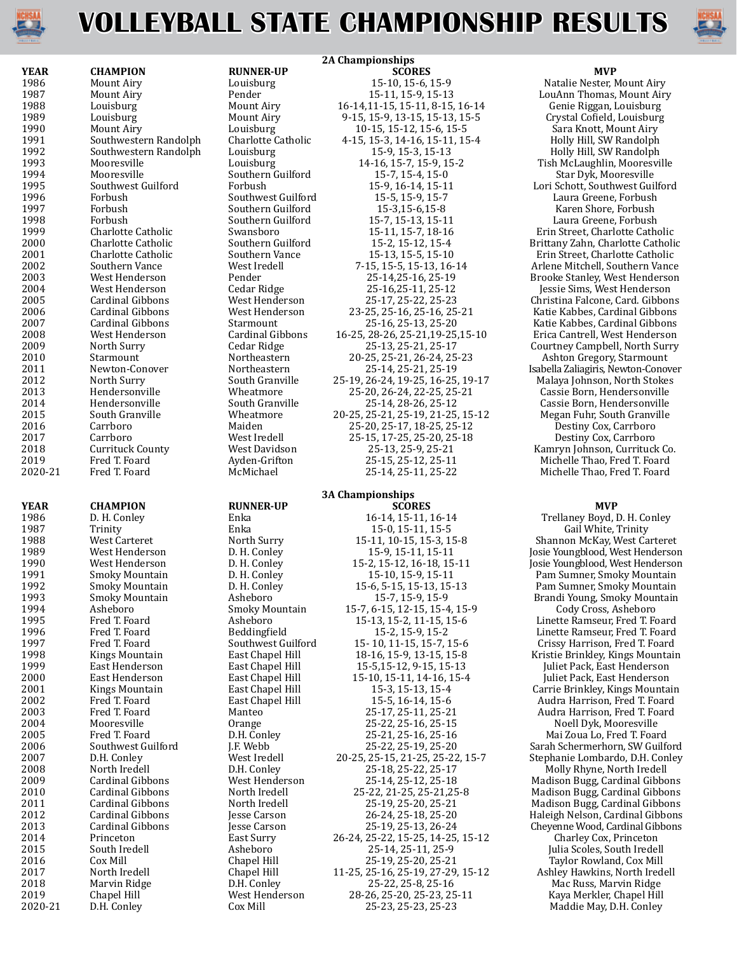

# **VOLLEYBALL STATE CHAMPIONSHIP RESULTS**

|             |                         |                    | <b>2A Championships</b>           |                                     |
|-------------|-------------------------|--------------------|-----------------------------------|-------------------------------------|
| <b>YEAR</b> | <b>CHAMPION</b>         | <b>RUNNER-UP</b>   | <b>SCORES</b>                     | <b>MVP</b>                          |
| 1986        | Mount Airy              | Louisburg          | 15-10, 15-6, 15-9                 | Natalie Nester, Mount Airy          |
| 1987        | Mount Airy              | Pender             | 15-11, 15-9, 15-13                | LouAnn Thomas, Mount Airy           |
| 1988        | Louisburg               | Mount Airy         | 16-14, 11-15, 15-11, 8-15, 16-14  | Genie Riggan, Louisburg             |
| 1989        | Louisburg               | Mount Airy         | 9-15, 15-9, 13-15, 15-13, 15-5    | Crystal Cofield, Louisburg          |
| 1990        | Mount Airy              | Louisburg          | 10-15, 15-12, 15-6, 15-5          | Sara Knott, Mount Airy              |
| 1991        | Southwestern Randolph   | Charlotte Catholic | 4-15, 15-3, 14-16, 15-11, 15-4    | Holly Hill, SW Randolph             |
| 1992        | Southwestern Randolph   | Louisburg          | 15-9, 15-3, 15-13                 | Holly Hill, SW Randolph             |
| 1993        | Mooresville             | Louisburg          | 14-16, 15-7, 15-9, 15-2           | Tish McLaughlin, Mooresville        |
| 1994        | Mooresville             | Southern Guilford  | 15-7, 15-4, 15-0                  | Star Dyk, Mooresville               |
| 1995        | Southwest Guilford      | Forbush            | 15-9, 16-14, 15-11                | Lori Schott, Southwest Guilford     |
| 1996        | Forbush                 | Southwest Guilford | 15-5, 15-9, 15-7                  | Laura Greene, Forbush               |
| 1997        | Forbush                 | Southern Guilford  | 15-3,15-6,15-8                    | Karen Shore, Forbush                |
| 1998        | Forbush                 | Southern Guilford  | 15-7, 15-13, 15-11                | Laura Greene, Forbush               |
| 1999        | Charlotte Catholic      | Swansboro          |                                   | Erin Street, Charlotte Catholic     |
|             |                         |                    | 15-11, 15-7, 18-16                |                                     |
| 2000        | Charlotte Catholic      | Southern Guilford  | 15-2, 15-12, 15-4                 | Brittany Zahn, Charlotte Catholic   |
| 2001        | Charlotte Catholic      | Southern Vance     | 15-13, 15-5, 15-10                | Erin Street, Charlotte Catholic     |
| 2002        | Southern Vance          | West Iredell       | 7-15, 15-5, 15-13, 16-14          | Arlene Mitchell, Southern Vance     |
| 2003        | West Henderson          | Pender             | 25-14,25-16, 25-19                | Brooke Stanley, West Henderson      |
| 2004        | West Henderson          | Cedar Ridge        | 25-16,25-11, 25-12                | Jessie Sims, West Henderson         |
| 2005        | Cardinal Gibbons        | West Henderson     | 25-17, 25-22, 25-23               | Christina Falcone, Card. Gibbons    |
| 2006        | Cardinal Gibbons        | West Henderson     | 23-25, 25-16, 25-16, 25-21        | Katie Kabbes, Cardinal Gibbons      |
| 2007        | <b>Cardinal Gibbons</b> | Starmount          | 25-16, 25-13, 25-20               | Katie Kabbes, Cardinal Gibbons      |
| 2008        | West Henderson          | Cardinal Gibbons   | 16-25, 28-26, 25-21, 19-25, 15-10 | Erica Cantrell, West Henderson      |
| 2009        | North Surry             | Cedar Ridge        | 25-13, 25-21, 25-17               | Courtney Campbell, North Surry      |
| 2010        | Starmount               | Northeastern       | 20-25, 25-21, 26-24, 25-23        | Ashton Gregory, Starmount           |
| 2011        | Newton-Conover          | Northeastern       | 25-14, 25-21, 25-19               | Isabella Zaliagiris, Newton-Conover |
| 2012        | North Surry             | South Granville    | 25-19, 26-24, 19-25, 16-25, 19-17 | Malaya Johnson, North Stokes        |
| 2013        | Hendersonville          | Wheatmore          | 25-20, 26-24, 22-25, 25-21        | Cassie Born, Hendersonville         |
| 2014        | Hendersonville          | South Granville    | 25-14, 28-26, 25-12               | Cassie Born, Hendersonville         |
| 2015        | South Granville         | Wheatmore          | 20-25, 25-21, 25-19, 21-25, 15-12 | Megan Fuhr, South Granville         |
| 2016        | Carrboro                | Maiden             | 25-20, 25-17, 18-25, 25-12        | Destiny Cox, Carrboro               |
| 2017        | Carrboro                | West Iredell       | 25-15, 17-25, 25-20, 25-18        | Destiny Cox, Carrboro               |
| 2018        | <b>Currituck County</b> | West Davidson      | 25-13, 25-9, 25-21                | Kamryn Johnson, Currituck Co.       |
| 2019        | Fred T. Foard           | Ayden-Grifton      | 25-15, 25-12, 25-11               | Michelle Thao, Fred T. Foard        |
| 2020-21     | Fred T. Foard           | McMichael          | 25-14, 25-11, 25-22               | Michelle Thao, Fred T. Foard        |
|             |                         |                    |                                   |                                     |
|             |                         |                    | <b>3A Championships</b>           |                                     |
| <b>YEAR</b> | <b>CHAMPION</b>         | <b>RUNNER-UP</b>   | <b>SCORES</b>                     | <b>MVP</b>                          |
| 1986        | D. H. Conley            | Enka               | 16-14, 15-11, 16-14               | Trellaney Boyd, D. H. Conley        |
| 1987        | Trinity                 | Enka               | 15-0, 15-11, 15-5                 | Gail White, Trinity                 |
| 1988        | West Carteret           | North Surry        | 15-11, 10-15, 15-3, 15-8          | Shannon McKay, West Carteret        |
| 1989        | West Henderson          | D. H. Conley       | 15-9, 15-11, 15-11                | Josie Youngblood, West Henderson    |
| 1990        | West Henderson          | D. H. Conley       | 15-2, 15-12, 16-18, 15-11         | Josie Youngblood, West Henderson    |
| 1991        |                         | D. H. Conley       |                                   |                                     |
|             | Smoky Mountain          |                    | 15-10, 15-9, 15-11                | Pam Sumner, Smoky Mountain          |
| 1992        | Smoky Mountain          | D. H. Conley       | 15-6, 5-15, 15-13, 15-13          | Pam Sumner, Smoky Mountain          |
| 1993        | Smoky Mountain          | Asheboro           | 15-7, 15-9, 15-9                  | Brandi Young, Smoky Mountain        |
| 1994        | Asheboro                | Smoky Mountain     | 15-7, 6-15, 12-15, 15-4, 15-9     | Cody Cross, Asheboro                |
| 1995        | Fred T. Foard           | Asheboro           | 15-13, 15-2, 11-15, 15-6          | Linette Ramseur, Fred T. Foard      |
| 1996        | Fred T. Foard           | Beddingfield       | 15-2, 15-9, 15-2                  | Linette Ramseur, Fred T. Foard      |
| 1997        | Fred T. Foard           | Southwest Guilford | 15 - 10, 11 - 15, 15 - 7, 15 - 6  | Crissy Harrison, Fred T. Foard      |
| 1998        | Kings Mountain          | East Chapel Hill   | 18-16, 15-9, 13-15, 15-8          | Kristie Brinkley, Kings Mountain    |
| 1999        | East Henderson          | East Chapel Hill   | 15-5,15-12, 9-15, 15-13           | Juliet Pack, East Henderson         |
| 2000        | East Henderson          | East Chapel Hill   | 15-10, 15-11, 14-16, 15-4         | Juliet Pack, East Henderson         |
| 2001        | Kings Mountain          | East Chapel Hill   | 15-3, 15-13, 15-4                 | Carrie Brinkley, Kings Mountain     |
| 2002        | Fred T. Foard           | East Chapel Hill   | 15-5, 16-14, 15-6                 | Audra Harrison, Fred T. Foard       |
| 2003        | Fred T. Foard           | Manteo             | 25-17, 25-11, 25-21               | Audra Harrison, Fred T. Foard       |
| 2004        | Mooresville             | Orange             | 25-22, 25-16, 25-15               | Noell Dyk, Mooresville              |
| 2005        | Fred T. Foard           | D.H. Conley        | 25-21, 25-16, 25-16               | Mai Zoua Lo, Fred T. Foard          |
| 2006        | Southwest Guilford      | J.F. Webb          | 25-22, 25-19, 25-20               | Sarah Schermerhorn, SW Guilford     |
| 2007        | D.H. Conley             | West Iredell       | 20-25, 25-15, 21-25, 25-22, 15-7  | Stephanie Lombardo, D.H. Conley     |
| 2008        | North Iredell           | D.H. Conley        | 25-18, 25-22, 25-17               | Molly Rhyne, North Iredell          |
| 2009        | Cardinal Gibbons        | West Henderson     | 25-14, 25-12, 25-18               | Madison Bugg, Cardinal Gibbons      |
| 2010        | Cardinal Gibbons        | North Iredell      | 25-22, 21-25, 25-21, 25-8         | Madison Bugg, Cardinal Gibbons      |
| 2011        | Cardinal Gibbons        | North Iredell      | 25-19, 25-20, 25-21               | Madison Bugg, Cardinal Gibbons      |
| 2012        | <b>Cardinal Gibbons</b> | Jesse Carson       | 26-24, 25-18, 25-20               | Haleigh Nelson, Cardinal Gibbons    |
| 2013        | Cardinal Gibbons        |                    | 25-19, 25-13, 26-24               |                                     |
|             | Princeton               | Jesse Carson       |                                   | Cheyenne Wood, Cardinal Gibbons     |
| 2014        |                         | East Surry         | 26-24, 25-22, 15-25, 14-25, 15-12 | Charley Cox, Princeton              |
| 2015        | South Iredell           | Asheboro           | 25-14, 25-11, 25-9                | Julia Scoles, South Iredell         |
| 2016        | Cox Mill                | Chapel Hill        | 25-19, 25-20, 25-21               | Taylor Rowland, Cox Mill            |
| 2017        | North Iredell           | Chapel Hill        | 11-25, 25-16, 25-19, 27-29, 15-12 | Ashley Hawkins, North Iredell       |
| 2018        | Marvin Ridge            | D.H. Conley        | 25-22, 25-8, 25-16                | Mac Russ, Marvin Ridge              |

### **3A Championships**

Enka 16-14, 15-11, 16-14 Trellaney Boyd, D. H. Conley Enka 15-0, 15-11, 15-5 1990 D. H. Conley 15-2, 15-12, 16-18, 15-11 Josie Youngblood, West Henderson<br>
15-10, 15-9, 15-11 Pam Sumner, Smoky Mountain 1991 D. H. Conley 1991 of the 1991 Smoky Mountain D. H. Conley 15-10, 15-15, 15-13, 15-13 D. H. Conley 15-6, 5-15, 15-13, 15-13 15-6, 5-15, 15-13, 15-13<br>
15-6, 5-15, 15-13, 15-13 Pam Sumner, Smoky Mountain Asheboro<br>
15-7, 15-9, 15-9 Pam Brandi Young, Smoky Mountain Asheboro 15-7, 15-9, 15-9 Brandi Young, Smoky Mountain Smoky Mountain 15-7, 6-15, 12-15, 15-4, 15-9 Brandi Young, Smoky Mountain 15-7, 6-15, 12-15, 15-4, 15-9<br>
Asheboro 15-13, 15-2, 11-15, 15-6 Asheboro 15-13, 15-2, 11-15, 15-6 Linette Ramseur, Fred T. Foard Beddingfield 15-2, 15-9, 15-2 Linette Ramseur, Fred T. Foard Beddingfield 15-2, 15-9, 15-2<br>
Southwest Guilford 15-10, 11-15, 15-7, 15-6 Crissy Harrison, Fred T. Foard 1997 Fred T. Foard Southwest Guilford 15- 10, 11-15, 15-7, 15-6 Crissy Harrison, Fred T. Foard East Chapel Hill 18-16, 15-9, 13-15, 15-8 Kristie Brinkley, Kings Mountain East Chapel Hill 15-5, 15-12, 9-15, 15-13 [uliet Pack, East Henderson East Chapel Hill 15-5,15-12, 9-15, 15-13 Juliet Pack, East Henderson Juliet Pack, East Henderson East Lennerson East Chapel Hill 15-10, 15-11, 14-16, 15-4 Juliet Pack, East Henderson East Chapel Hill 15-10, 15-13, 15-4 Carrie Brinkley, Kings Mounta East Chapel Hill 15-3, 15-13, 15-4 Carrie Brinkley, Kings Mountain East Chapel Hill 15-5, 16-14, 15-6 Audra Harrison, Fred T. Foard East Chapel Hill **2002 Fred T. Foard East Chapel Hill** 15-5, 16-14, 15-6 **Audra Harrison, Fred T. Foard Manteo**<br>Manteo **Manteo** 25-17, 25-11, 25-21 Audra Harrison, Fred T. Foard 125-17, 25-11, 25-21, 25-21, 25-21, 25-21, 25-21, 25-21, 25-21, 25-21, 25-21, 25-21, 25-21, 25-21, 2 2004 Mooresville Orange 25-22, 25-16, 25-15 Noell Dyk, Mooresville 2005 Fred T. Foard D.H. Conley 25-21, 25-16, 25-16 Mai Zoua Lo, Fred T. Foard 2006 J.F. Webb 25-22, 25-19, 25-20<br>West Iredell 20-25, 25-15, 21-25, 25-22, 15-7 Stephanie Lombardo, D.H. Conley 20-25, 25-15, 21-25, 25-22, 15-7<br>
25-18, 25-22, 25-17<br>
25-18, 25-22, 25-17 D.H. Conley 25-18, 25-22, 25-17 Molly Rhyne, North Iredell West Henderson 25-14, 25-12, 25-18 Madison Bugg, Cardinal Gibbo West Henderson 25-14, 25-12, 25-18 Madison Bugg, Cardinal Gibbons North Iredell<br>North Iredell 25-22, 21-25, 25-21, 25-8 Madison Bugg, Cardinal Gibbons North Iredell 25-22, 21-25, 25-21, 25-8 Madison Bugg, Cardinal Gibbons<br>
25-19, 25-20, 25-21 Madison Bugg, Cardinal Gibbons 2011 Cardinal Gibbons North Iredell 25-19, 25-20, 25-21 Madison Bugg, Cardinal Gibbons Example 26-24, 25-18, 25-20 Haleigh Nelson, Cardinal Gibbons<br>1993 Jesse Carson 25-19, 25-13, 26-24 Cheyenne Wood, Cardinal Gibbons example 25-19, 25-13, 26-24 Cheyenne Wood, Cardinal Gibbons (1955)<br>East Surry 26-24, 25-22, 15-25, 14-25, 15-12 Charley Cox, Princeton East Surry 26-24, 25-22, 15-25, 14-25, 15-12<br>Asheboro 25-14, 25-11, 25-9 2015 South Iredell Asheboro 25-14, 25-11, 25-9 Julia Scoles, South Iredell 2016 Cox Mill Chapel Hill 25-19, 25-20, 25-21 Taylor Rowland, Cox Mill 2017 Chapel Hill 11-25, 25-16, 25-19, 27-29, 15-12 Ashley Hawkins, North Ired<br>D.H. Conley 25-22, 25-22, 25-8, 25-16 Mac Russ, Marvin Ridge 2018 Marvin Ridge D.H. Conley 25-22, 25-8, 25-16 Mac Russ, Marvin Ridge 2019 Chapel Hill West Henderson 28-26, 25-20, 25-23, 25-11 Kaya Merkler, Chapel Hill

Maddie May, D.H. Conley